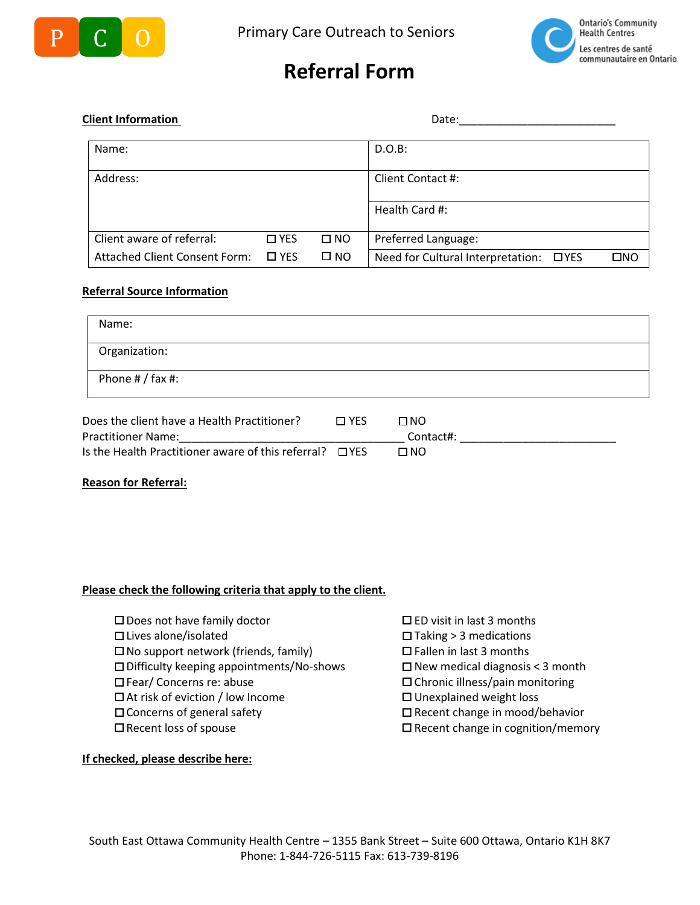



## **Referral Form**

## **Client Information** Date:

| Name:                         |               |              | $D.O.B$ :                                                 |  |  |
|-------------------------------|---------------|--------------|-----------------------------------------------------------|--|--|
| Address:                      |               |              | Client Contact #:                                         |  |  |
|                               |               |              | Health Card #:                                            |  |  |
| Client aware of referral:     | $\Box$ YES    | $\square$ NO | Preferred Language:                                       |  |  |
| Attached Client Consent Form: | $\square$ YES | $\square$ NO | Need for Cultural Interpretation:<br>אםΩ<br>$\square$ YES |  |  |

### **Referral Source Information**

| Name:                   |  |
|-------------------------|--|
| Organization:           |  |
| Phone $\#$ / fax $\#$ : |  |
|                         |  |

| Does the client have a Health Practitioner?                   | <b>ITT YES</b> | U NO      |
|---------------------------------------------------------------|----------------|-----------|
| <b>Practitioner Name:</b>                                     |                | Contact#: |
| Is the Health Practitioner aware of this referral? $\Box$ YES |                | N NO.     |

#### **Reason for Referral:**

#### **Please check the following criteria that apply to the client.**

- $\square$  Does not have family doctor  $\square$  ED visit in last 3 months
- 
- $\square$  No support network (friends, family)  $\square$  Fallen in last 3 months
- $\square$  Difficulty keeping appointments/No-shows  $\square$  New medical diagnosis < 3 month
- 
- $\Box$  At risk of eviction / low Income  $\Box$  Unexplained weight loss
- 
- 

#### **If checked, please describe here:**

- 
- $\Box$  Lives alone/isolated  $\Box$  Taking > 3 medications
	-
	-
- $\Box$  Fear/ Concerns re: abuse  $\Box$  Chronic illness/pain monitoring
	-
- $\square$  Concerns of general safety  $\square$  Recent change in mood/behavior
- $\Box$  Recent loss of spouse  $\Box$  Recent change in cognition/memory